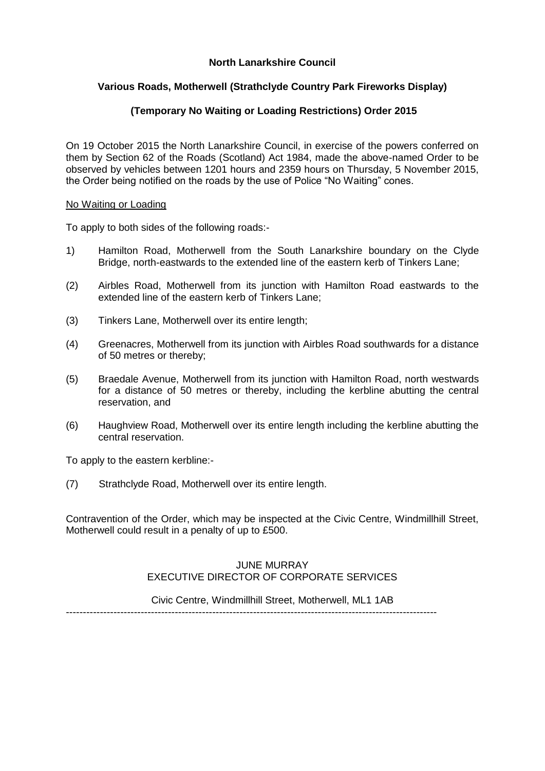### **North Lanarkshire Council**

### **Various Roads, Motherwell (Strathclyde Country Park Fireworks Display)**

### **(Temporary No Waiting or Loading Restrictions) Order 2015**

On 19 October 2015 the North Lanarkshire Council, in exercise of the powers conferred on them by Section 62 of the Roads (Scotland) Act 1984, made the above-named Order to be observed by vehicles between 1201 hours and 2359 hours on Thursday, 5 November 2015, the Order being notified on the roads by the use of Police "No Waiting" cones.

#### No Waiting or Loading

To apply to both sides of the following roads:-

- 1) Hamilton Road, Motherwell from the South Lanarkshire boundary on the Clyde Bridge, north-eastwards to the extended line of the eastern kerb of Tinkers Lane;
- (2) Airbles Road, Motherwell from its junction with Hamilton Road eastwards to the extended line of the eastern kerb of Tinkers Lane;
- (3) Tinkers Lane, Motherwell over its entire length;
- (4) Greenacres, Motherwell from its junction with Airbles Road southwards for a distance of 50 metres or thereby;
- (5) Braedale Avenue, Motherwell from its junction with Hamilton Road, north westwards for a distance of 50 metres or thereby, including the kerbline abutting the central reservation, and
- (6) Haughview Road, Motherwell over its entire length including the kerbline abutting the central reservation.

To apply to the eastern kerbline:-

(7) Strathclyde Road, Motherwell over its entire length.

Contravention of the Order, which may be inspected at the Civic Centre, Windmillhill Street, Motherwell could result in a penalty of up to £500.

#### JUNE MURRAY EXECUTIVE DIRECTOR OF CORPORATE SERVICES

Civic Centre, Windmillhill Street, Motherwell, ML1 1AB

-------------------------------------------------------------------------------------------------------------